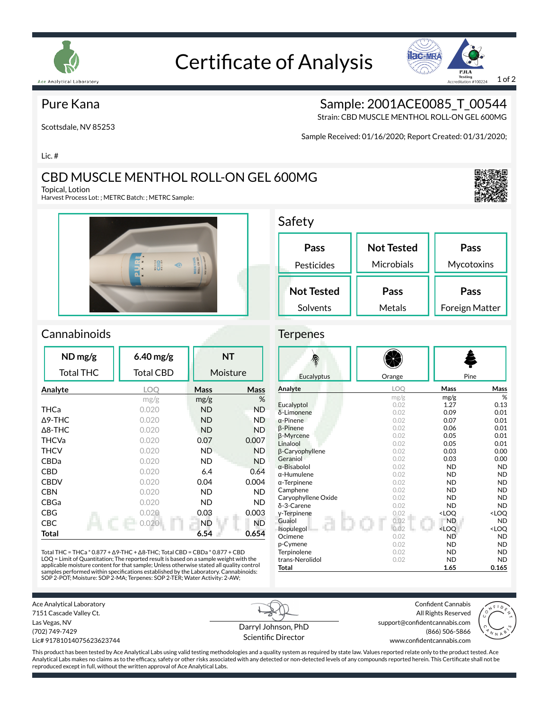

# Certificate of Analysis



#### Pure Kana

Scottsdale, NV 85253

Sample: 2001ACE0085 T 00544

Strain: CBD MUSCLE MENTHOL ROLL-ON GEL 600MG

Sample Received: 01/16/2020; Report Created: 01/31/2020;

Lic. #

### CBD MUSCLE MENTHOL ROLL-ON GEL 600MG

Topical, Lotion

Harvest Process Lot: ; METRC Batch: ; METRC Sample:



### Safety

**Terpenes** 

| Pass              | <b>Not Tested</b> | Pass           |
|-------------------|-------------------|----------------|
| Pesticides        | Microbials        | Mycotoxins     |
| <b>Not Tested</b> | Pass              | Pass           |
| Solvents          | Metals            | Foreign Matter |

#### **Cannabinoids**

| $ND$ mg/g         | $6.40$ mg/g |           | <b>NT</b>   |
|-------------------|-------------|-----------|-------------|
| <b>Total THC</b>  | Total CBD   |           | Moisture    |
| Analyte           | LOO         | Mass      | <b>Mass</b> |
|                   | mg/g        | mg/g      | %           |
| THCa              | 0.020       | <b>ND</b> | <b>ND</b>   |
| $\Delta$ 9-THC    | 0.020       | <b>ND</b> | <b>ND</b>   |
| $\triangle$ 8-THC | 0.020       | ND.       | <b>ND</b>   |
| <b>THCVa</b>      | 0.020       | 0.07      | 0.007       |
| <b>THCV</b>       | 0.020       | ND.       | <b>ND</b>   |
| <b>CBDa</b>       | 0.020       | ND.       | <b>ND</b>   |
| <b>CBD</b>        | 0.020       | 6.4       | 0.64        |
| <b>CBDV</b>       | 0.020       | 0.04      | 0.004       |
| <b>CBN</b>        | 0.020       | ND.       | ND          |
| CBGa              | 0.020       | ND        | ND          |
| CBG               | 0.020       | 0.03      | 0.003       |
| CBC.              | 0.020       | <b>ND</b> | <b>ND</b>   |
| Total             |             | 6.54      | 0.654       |

Total THC = THCa \* 0.877 + ∆9-THC + ∆8-THC; Total CBD = CBDa \* 0.877 + CBD LOQ = Limit of Quantitation; The reported result is based on a sample weight with the applicable moisture content for that sample; Unless otherwise stated all quality control samples performed within specifications established by the Laboratory. Cannabinoids:<br>SOP 2-POT; Moisture: SOP 2-MA; Terpenes: SOP 2-TER; Water Activity: 2-AW;

| Eucalyptus          | Orange     | Pine                                            |                     |
|---------------------|------------|-------------------------------------------------|---------------------|
| Analyte             | <b>LOO</b> | <b>Mass</b>                                     | Mass                |
|                     | mg/g       | mg/g                                            | %                   |
| Eucalyptol          | 0.02       | 1.27                                            | 0.13                |
| δ-Limonene          | 0.02       | 0.09                                            | 0.01                |
| $\alpha$ -Pinene    | 0.02       | 0.07                                            | 0.01                |
| <b>B-Pinene</b>     | 0.02       | 0.06                                            | 0.01                |
| <b>B-Myrcene</b>    | 0.02       | 0.05                                            | 0.01                |
| Linalool            | 0.02       | 0.05                                            | 0.01                |
| β-Caryophyllene     | 0.02       | 0.03                                            | 0.00                |
| Geraniol            | 0.02       | 0.03                                            | 0.00                |
| $\alpha$ -Bisabolol | 0.02       | <b>ND</b>                                       | <b>ND</b>           |
| $\alpha$ -Humulene  | 0.02       | <b>ND</b>                                       | <b>ND</b>           |
| $\alpha$ -Terpinene | 0.02       | <b>ND</b>                                       | <b>ND</b>           |
| Camphene            | 0.02       | <b>ND</b>                                       | <b>ND</b>           |
| Caryophyllene Oxide | 0.02       | <b>ND</b>                                       | <b>ND</b>           |
| δ-3-Carene          | 0.02       | <b>ND</b>                                       | <b>ND</b>           |
| y-Terpinene         | 0.02       | <loq< th=""><th><loq< th=""></loq<></th></loq<> | <loq< th=""></loq<> |
| Guaiol              | 0.02       | <b>ND</b>                                       | <b>ND</b>           |
| Isopulegol          | 0.02       | <loo< th=""><th><loq< th=""></loq<></th></loo<> | <loq< th=""></loq<> |
| Ocimene             | 0.02       | <b>ND</b>                                       | <b>ND</b>           |
| p-Cymene            | 0.02       | <b>ND</b>                                       | <b>ND</b>           |
| Terpinolene         | 0.02       | <b>ND</b>                                       | <b>ND</b>           |
| trans-Nerolidol     | 0.02       | <b>ND</b>                                       | <b>ND</b>           |
| Total               |            | 1.65                                            | 0.165               |

Ace Analytical Laboratory 7151 Cascade Valley Ct. Las Vegas, NV (702) 749-7429 Lic# 91781014075623623744

Darryl Johnson, PhD Scientific Director

Confident Cannabis All Rights Reserved support@confidentcannabis.com (866) 506-5866



www.confidentcannabis.com

This product has been tested by Ace Analytical Labs using valid testing methodologies and a quality system as required by state law. Values reported relate only to the product tested. Ace Analytical Labs makes no claims as to the efficacy, safety or other risks associated with any detected or non-detected levels of any compounds reported herein. This Certificate shall not be reproduced except in full, without the written approval of Ace Analytical Labs.